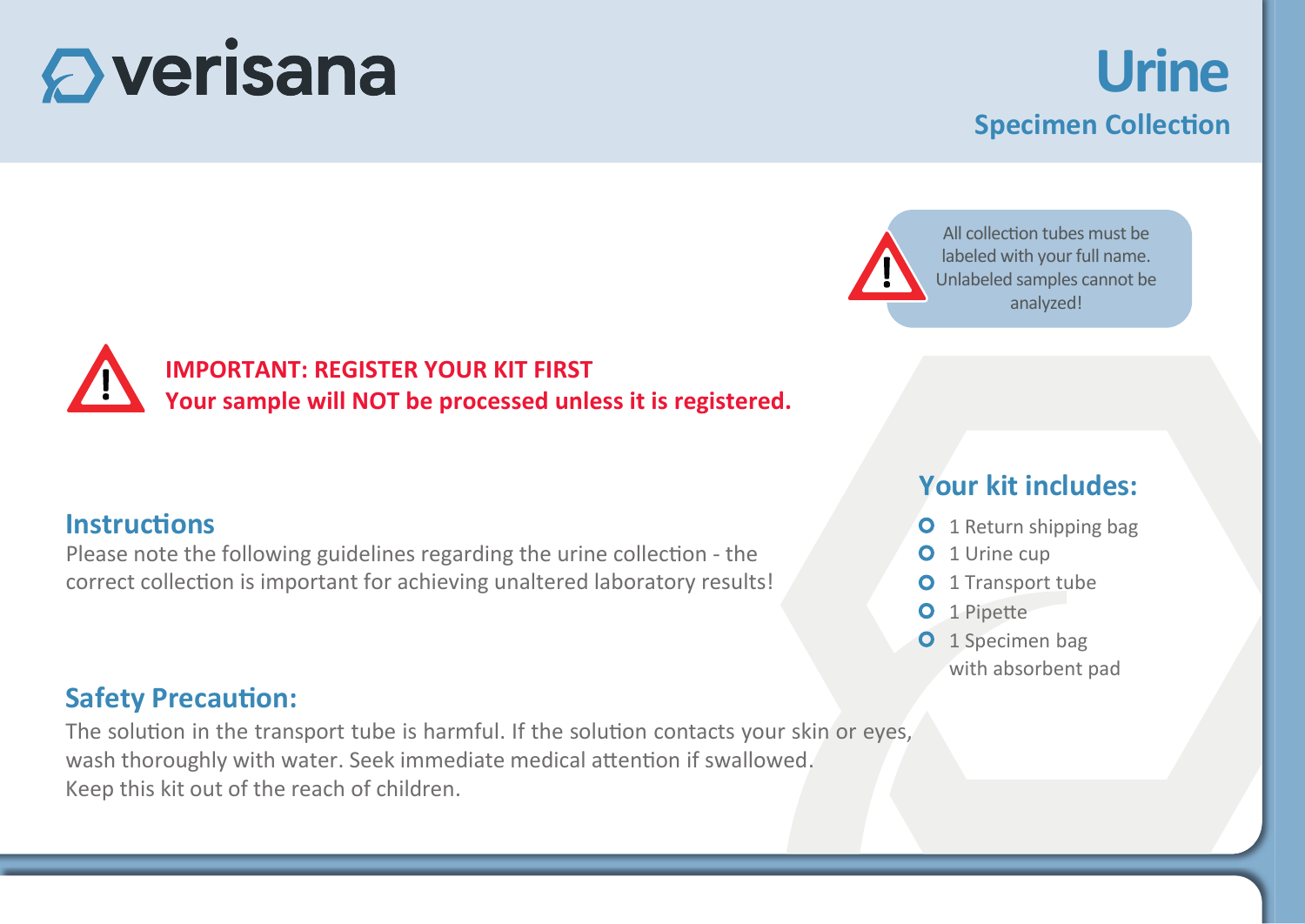# $\mathbf \mathbf{\Omega}$  verisana

## **Urine Specimen Collection**

All collection tubes must be labeled with your full name. Unlabeled samples cannot be analyzed!

**IMPORTANT: REGISTER YOUR KIT FIRST Your sample will NOT be processed unless it is registered.**

#### **Instructions**

Please note the following guidelines regarding the urine collection - the correct collection is important for achieving unaltered laboratory results!

#### **Safety Precaution:**

The solution in the transport tube is harmful. If the solution contacts your skin or eyes, wash thoroughly with water. Seek immediate medical attention if swallowed. Keep this kit out of the reach of children.

#### **Your kit includes:**

- **O** 1 Return shipping bag
- **O** 1 Urine cup
- **O** 1 Transport tube
- O 1 Pipette
- O 1 Specimen bag with absorbent pad